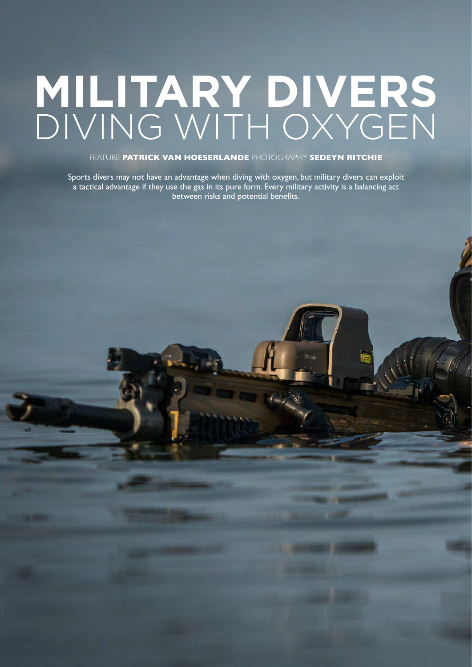## **MILITARY DIVERS** DIVING WITH OXYGEN

FEATURE **PATRICK VAN HOESERLANDE** PHOTOGRAPHY **SEDEYN RITCHIE**

Sports divers may not have an advantage when diving with oxygen, but military divers can exploit a tactical advantage if they use the gas in its pure form. Every military activity is a balancing act between risks and potential benefits.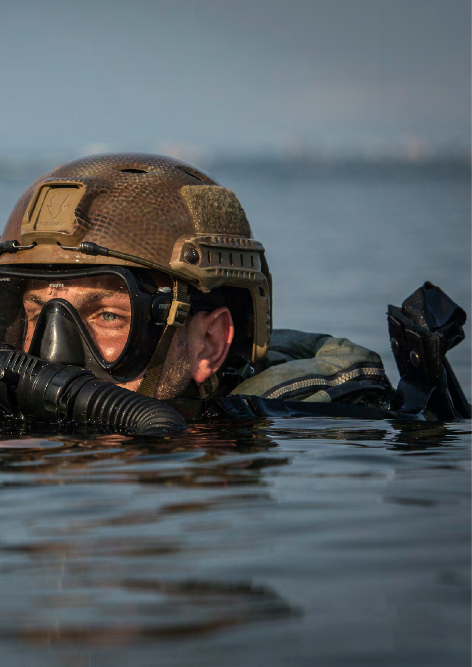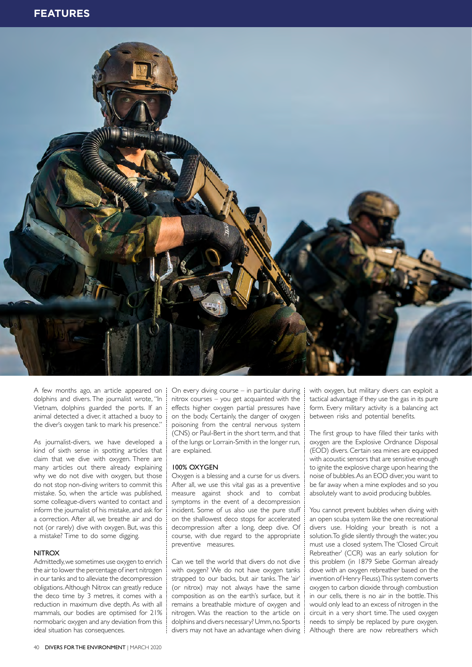

A few months ago, an article appeared on dolphins and divers. The journalist wrote, "In Vietnam, dolphins guarded the ports. If an animal detected a diver, it attached a buoy to the diver's oxygen tank to mark his presence."

As journalist-divers, we have developed a kind of sixth sense in spotting articles that claim that we dive with oxygen. There are many articles out there already explaining why we do not dive with oxygen, but those do not stop non-diving writers to commit this mistake. So, when the article was published, some colleague-divers wanted to contact and inform the journalist of his mistake, and ask for a correction. After all, we breathe air and do not (or rarely) dive with oxygen. But, was this a mistake? Time to do some digging.

## **NITROX**

Admittedly, we sometimes use oxygen to enrich the air to lower the percentage of inert nitrogen in our tanks and to alleviate the decompression obligations. Although Nitrox can greatly reduce the deco time by 3 metres, it comes with a reduction in maximum dive depth. As with all mammals, our bodies are optimised for 21% normobaric oxygen and any deviation from this ideal situation has consequences.

On every diving course – in particular during nitrox courses – you get acquainted with the effects higher oxygen partial pressures have on the body. Certainly, the danger of oxygen poisoning from the central nervous system (CNS) or Paul-Bert in the short term, and that of the lungs or Lorrain-Smith in the longer run, are explained.

## 100% OXYGEN

Oxygen is a blessing and a curse for us divers. After all, we use this vital gas as a preventive measure against shock and to combat symptoms in the event of a decompression incident. Some of us also use the pure stuff on the shallowest deco stops for accelerated decompression after a long, deep dive. Of course, with due regard to the appropriate preventive measures.

Can we tell the world that divers do not dive with oxygen? We do not have oxygen tanks strapped to our backs, but air tanks. The 'air' (or nitrox) may not always have the same composition as on the earth's surface, but it remains a breathable mixture of oxygen and nitrogen. Was the reaction to the article on dolphins and divers necessary? Umm, no. Sports divers may not have an advantage when diving

with oxygen, but military divers can exploit a tactical advantage if they use the gas in its pure form. Every military activity is a balancing act between risks and potential benefits.

The first group to have filled their tanks with oxygen are the Explosive Ordnance Disposal (EOD) divers. Certain sea mines are equipped with acoustic sensors that are sensitive enough to ignite the explosive charge upon hearing the noise of bubbles. As an EOD diver, you want to be far away when a mine explodes and so you absolutely want to avoid producing bubbles.

You cannot prevent bubbles when diving with an open scuba system like the one recreational divers use. Holding your breath is not a solution. To glide silently through the water, you must use a closed system. The 'Closed Circuit Rebreather' (CCR) was an early solution for this problem (in 1879 Siebe Gorman already dove with an oxygen rebreather based on the invention of Henry Fleuss). This system converts oxygen to carbon dioxide through combustion in our cells, there is no air in the bottle. This would only lead to an excess of nitrogen in the circuit in a very short time. The used oxygen needs to simply be replaced by pure oxygen. Although there are now rebreathers which